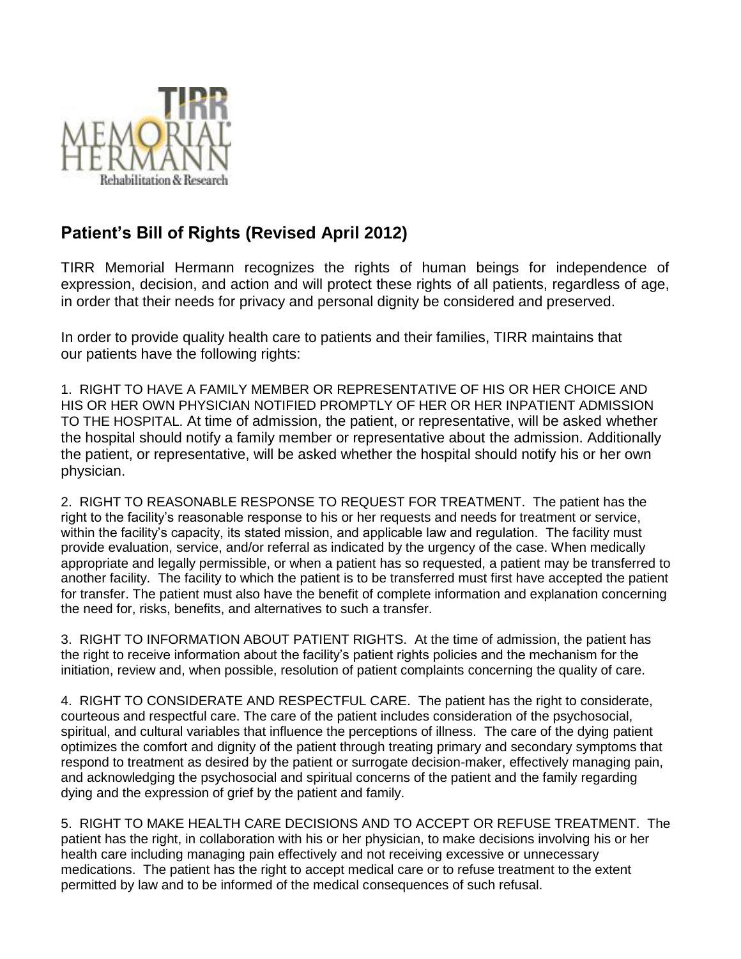

## **Patient's Bill of Rights (Revised April 2012)**

TIRR Memorial Hermann recognizes the rights of human beings for independence of expression, decision, and action and will protect these rights of all patients, regardless of age, in order that their needs for privacy and personal dignity be considered and preserved.

In order to provide quality health care to patients and their families, TIRR maintains that our patients have the following rights:

1. RIGHT TO HAVE A FAMILY MEMBER OR REPRESENTATIVE OF HIS OR HER CHOICE AND HIS OR HER OWN PHYSICIAN NOTIFIED PROMPTLY OF HER OR HER INPATIENT ADMISSION TO THE HOSPITAL. At time of admission, the patient, or representative, will be asked whether the hospital should notify a family member or representative about the admission. Additionally the patient, or representative, will be asked whether the hospital should notify his or her own physician.

2. RIGHT TO REASONABLE RESPONSE TO REQUEST FOR TREATMENT. The patient has the right to the facility's reasonable response to his or her requests and needs for treatment or service, within the facility's capacity, its stated mission, and applicable law and regulation. The facility must provide evaluation, service, and/or referral as indicated by the urgency of the case. When medically appropriate and legally permissible, or when a patient has so requested, a patient may be transferred to another facility. The facility to which the patient is to be transferred must first have accepted the patient for transfer. The patient must also have the benefit of complete information and explanation concerning the need for, risks, benefits, and alternatives to such a transfer.

3. RIGHT TO INFORMATION ABOUT PATIENT RIGHTS. At the time of admission, the patient has the right to receive information about the facility's patient rights policies and the mechanism for the initiation, review and, when possible, resolution of patient complaints concerning the quality of care.

4. RIGHT TO CONSIDERATE AND RESPECTFUL CARE. The patient has the right to considerate, courteous and respectful care. The care of the patient includes consideration of the psychosocial, spiritual, and cultural variables that influence the perceptions of illness. The care of the dying patient optimizes the comfort and dignity of the patient through treating primary and secondary symptoms that respond to treatment as desired by the patient or surrogate decision-maker, effectively managing pain, and acknowledging the psychosocial and spiritual concerns of the patient and the family regarding dying and the expression of grief by the patient and family.

5. RIGHT TO MAKE HEALTH CARE DECISIONS AND TO ACCEPT OR REFUSE TREATMENT. The patient has the right, in collaboration with his or her physician, to make decisions involving his or her health care including managing pain effectively and not receiving excessive or unnecessary medications. The patient has the right to accept medical care or to refuse treatment to the extent permitted by law and to be informed of the medical consequences of such refusal.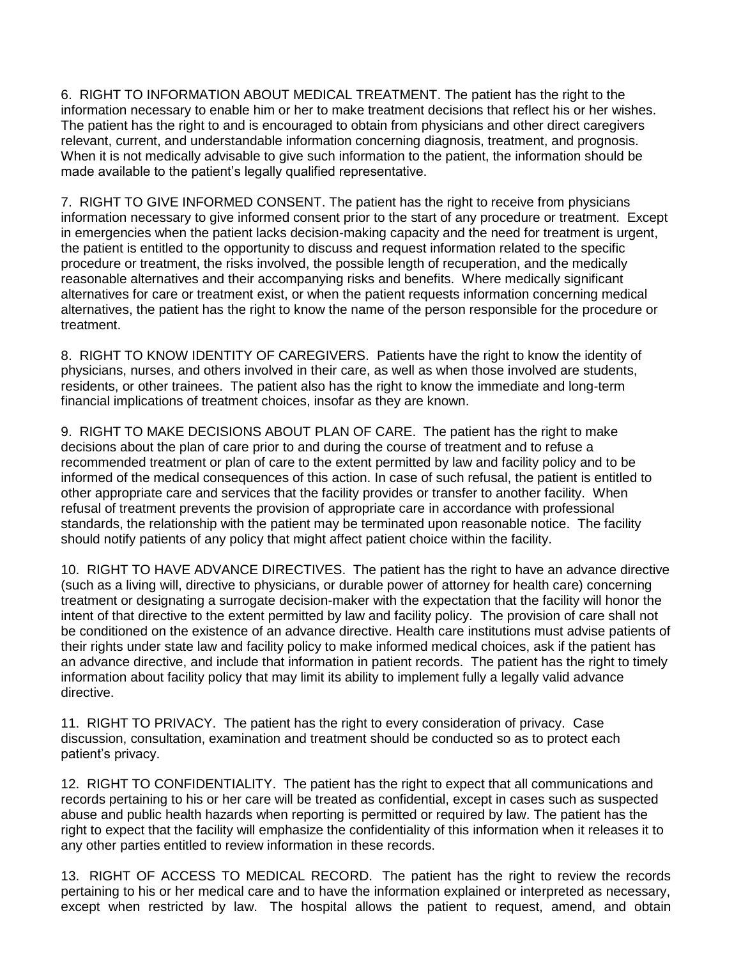6. RIGHT TO INFORMATION ABOUT MEDICAL TREATMENT. The patient has the right to the information necessary to enable him or her to make treatment decisions that reflect his or her wishes. The patient has the right to and is encouraged to obtain from physicians and other direct caregivers relevant, current, and understandable information concerning diagnosis, treatment, and prognosis. When it is not medically advisable to give such information to the patient, the information should be made available to the patient's legally qualified representative.

7. RIGHT TO GIVE INFORMED CONSENT. The patient has the right to receive from physicians information necessary to give informed consent prior to the start of any procedure or treatment. Except in emergencies when the patient lacks decision-making capacity and the need for treatment is urgent, the patient is entitled to the opportunity to discuss and request information related to the specific procedure or treatment, the risks involved, the possible length of recuperation, and the medically reasonable alternatives and their accompanying risks and benefits. Where medically significant alternatives for care or treatment exist, or when the patient requests information concerning medical alternatives, the patient has the right to know the name of the person responsible for the procedure or treatment.

8. RIGHT TO KNOW IDENTITY OF CAREGIVERS. Patients have the right to know the identity of physicians, nurses, and others involved in their care, as well as when those involved are students, residents, or other trainees. The patient also has the right to know the immediate and long-term financial implications of treatment choices, insofar as they are known.

9. RIGHT TO MAKE DECISIONS ABOUT PLAN OF CARE. The patient has the right to make decisions about the plan of care prior to and during the course of treatment and to refuse a recommended treatment or plan of care to the extent permitted by law and facility policy and to be informed of the medical consequences of this action. In case of such refusal, the patient is entitled to other appropriate care and services that the facility provides or transfer to another facility. When refusal of treatment prevents the provision of appropriate care in accordance with professional standards, the relationship with the patient may be terminated upon reasonable notice. The facility should notify patients of any policy that might affect patient choice within the facility.

10. RIGHT TO HAVE ADVANCE DIRECTIVES. The patient has the right to have an advance directive (such as a living will, directive to physicians, or durable power of attorney for health care) concerning treatment or designating a surrogate decision-maker with the expectation that the facility will honor the intent of that directive to the extent permitted by law and facility policy. The provision of care shall not be conditioned on the existence of an advance directive. Health care institutions must advise patients of their rights under state law and facility policy to make informed medical choices, ask if the patient has an advance directive, and include that information in patient records. The patient has the right to timely information about facility policy that may limit its ability to implement fully a legally valid advance directive.

11. RIGHT TO PRIVACY. The patient has the right to every consideration of privacy. Case discussion, consultation, examination and treatment should be conducted so as to protect each patient's privacy.

12. RIGHT TO CONFIDENTIALITY. The patient has the right to expect that all communications and records pertaining to his or her care will be treated as confidential, except in cases such as suspected abuse and public health hazards when reporting is permitted or required by law. The patient has the right to expect that the facility will emphasize the confidentiality of this information when it releases it to any other parties entitled to review information in these records.

13. RIGHT OF ACCESS TO MEDICAL RECORD. The patient has the right to review the records pertaining to his or her medical care and to have the information explained or interpreted as necessary, except when restricted by law. The hospital allows the patient to request, amend, and obtain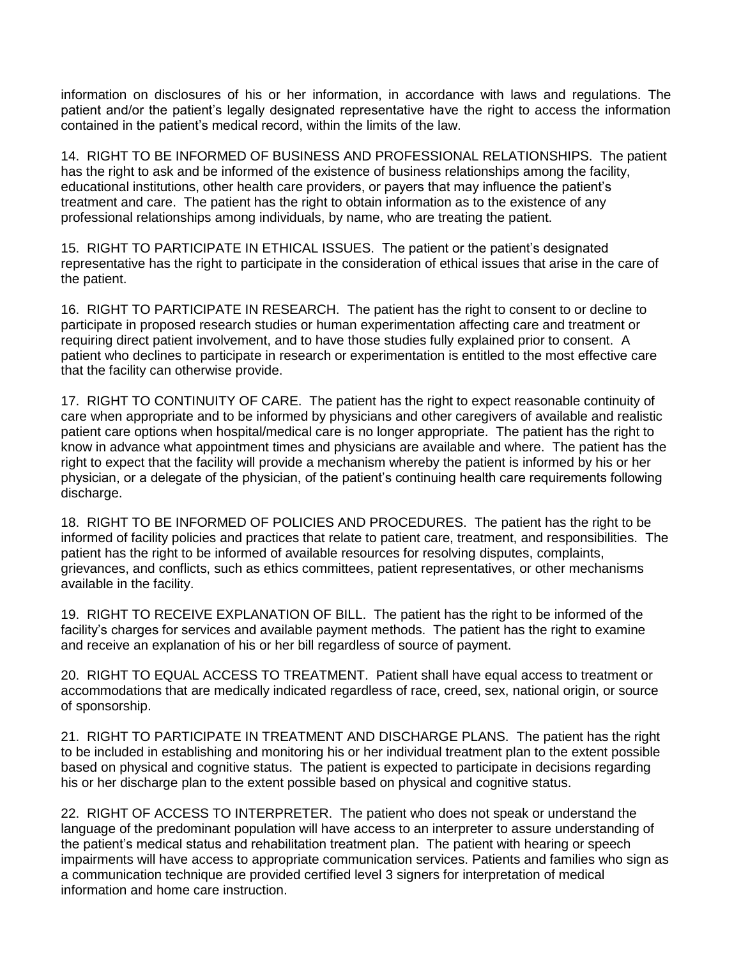information on disclosures of his or her information, in accordance with laws and regulations. The patient and/or the patient's legally designated representative have the right to access the information contained in the patient's medical record, within the limits of the law.

14. RIGHT TO BE INFORMED OF BUSINESS AND PROFESSIONAL RELATIONSHIPS. The patient has the right to ask and be informed of the existence of business relationships among the facility, educational institutions, other health care providers, or payers that may influence the patient's treatment and care. The patient has the right to obtain information as to the existence of any professional relationships among individuals, by name, who are treating the patient.

15. RIGHT TO PARTICIPATE IN ETHICAL ISSUES. The patient or the patient's designated representative has the right to participate in the consideration of ethical issues that arise in the care of the patient.

16. RIGHT TO PARTICIPATE IN RESEARCH. The patient has the right to consent to or decline to participate in proposed research studies or human experimentation affecting care and treatment or requiring direct patient involvement, and to have those studies fully explained prior to consent. A patient who declines to participate in research or experimentation is entitled to the most effective care that the facility can otherwise provide.

17. RIGHT TO CONTINUITY OF CARE. The patient has the right to expect reasonable continuity of care when appropriate and to be informed by physicians and other caregivers of available and realistic patient care options when hospital/medical care is no longer appropriate. The patient has the right to know in advance what appointment times and physicians are available and where. The patient has the right to expect that the facility will provide a mechanism whereby the patient is informed by his or her physician, or a delegate of the physician, of the patient's continuing health care requirements following discharge.

18. RIGHT TO BE INFORMED OF POLICIES AND PROCEDURES. The patient has the right to be informed of facility policies and practices that relate to patient care, treatment, and responsibilities. The patient has the right to be informed of available resources for resolving disputes, complaints, grievances, and conflicts, such as ethics committees, patient representatives, or other mechanisms available in the facility.

19. RIGHT TO RECEIVE EXPLANATION OF BILL. The patient has the right to be informed of the facility's charges for services and available payment methods. The patient has the right to examine and receive an explanation of his or her bill regardless of source of payment.

20. RIGHT TO EQUAL ACCESS TO TREATMENT. Patient shall have equal access to treatment or accommodations that are medically indicated regardless of race, creed, sex, national origin, or source of sponsorship.

21. RIGHT TO PARTICIPATE IN TREATMENT AND DISCHARGE PLANS. The patient has the right to be included in establishing and monitoring his or her individual treatment plan to the extent possible based on physical and cognitive status. The patient is expected to participate in decisions regarding his or her discharge plan to the extent possible based on physical and cognitive status.

22. RIGHT OF ACCESS TO INTERPRETER. The patient who does not speak or understand the language of the predominant population will have access to an interpreter to assure understanding of the patient's medical status and rehabilitation treatment plan. The patient with hearing or speech impairments will have access to appropriate communication services. Patients and families who sign as a communication technique are provided certified level 3 signers for interpretation of medical information and home care instruction.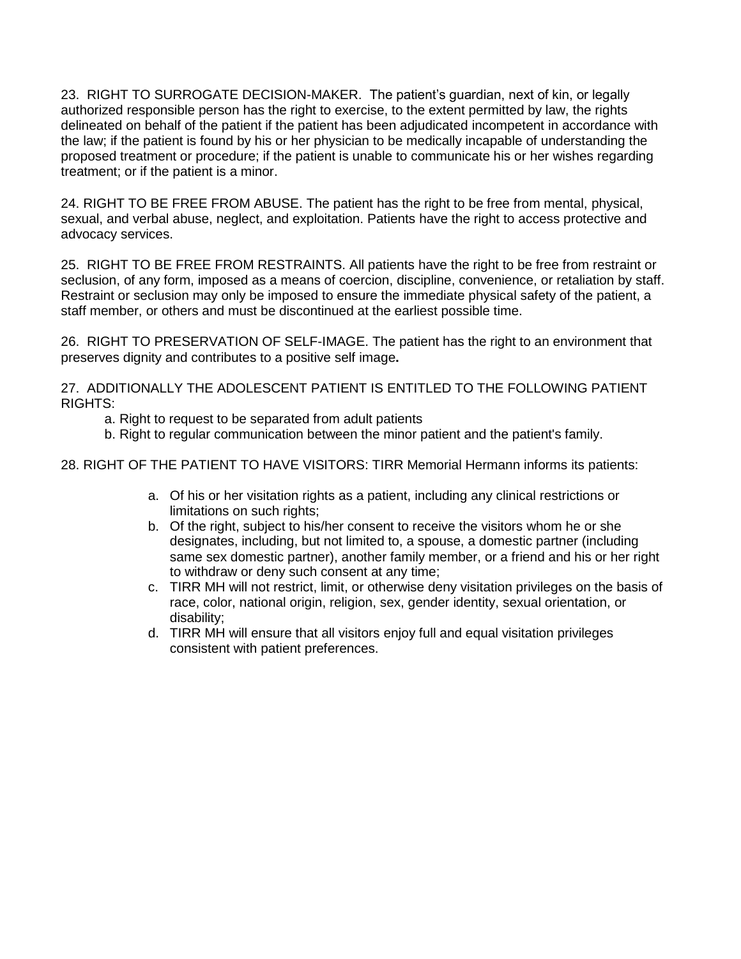23. RIGHT TO SURROGATE DECISION-MAKER. The patient's guardian, next of kin, or legally authorized responsible person has the right to exercise, to the extent permitted by law, the rights delineated on behalf of the patient if the patient has been adjudicated incompetent in accordance with the law; if the patient is found by his or her physician to be medically incapable of understanding the proposed treatment or procedure; if the patient is unable to communicate his or her wishes regarding treatment; or if the patient is a minor.

24. RIGHT TO BE FREE FROM ABUSE. The patient has the right to be free from mental, physical, sexual, and verbal abuse, neglect, and exploitation. Patients have the right to access protective and advocacy services.

25. RIGHT TO BE FREE FROM RESTRAINTS. All patients have the right to be free from restraint or seclusion, of any form, imposed as a means of coercion, discipline, convenience, or retaliation by staff. Restraint or seclusion may only be imposed to ensure the immediate physical safety of the patient, a staff member, or others and must be discontinued at the earliest possible time.

26. RIGHT TO PRESERVATION OF SELF-IMAGE. The patient has the right to an environment that preserves dignity and contributes to a positive self image**.**

27. ADDITIONALLY THE ADOLESCENT PATIENT IS ENTITLED TO THE FOLLOWING PATIENT RIGHTS:

- a. Right to request to be separated from adult patients
- b. Right to regular communication between the minor patient and the patient's family.

28. RIGHT OF THE PATIENT TO HAVE VISITORS: TIRR Memorial Hermann informs its patients:

- a. Of his or her visitation rights as a patient, including any clinical restrictions or limitations on such rights;
- b. Of the right, subject to his/her consent to receive the visitors whom he or she designates, including, but not limited to, a spouse, a domestic partner (including same sex domestic partner), another family member, or a friend and his or her right to withdraw or deny such consent at any time;
- c. TIRR MH will not restrict, limit, or otherwise deny visitation privileges on the basis of race, color, national origin, religion, sex, gender identity, sexual orientation, or disability;
- d. TIRR MH will ensure that all visitors enjoy full and equal visitation privileges consistent with patient preferences.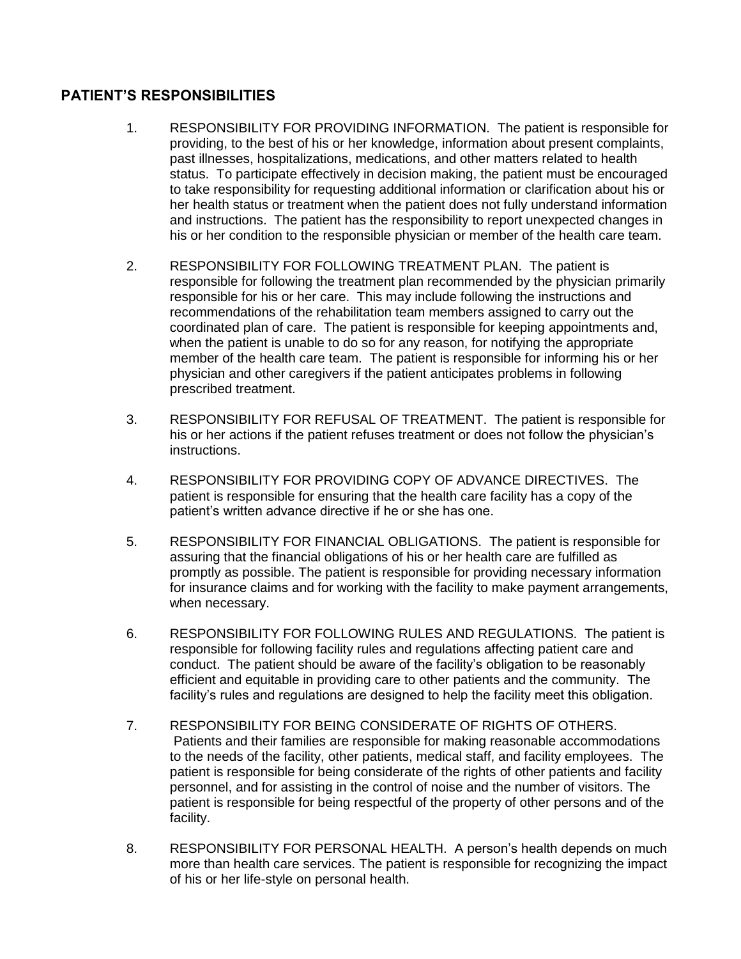## **PATIENT'S RESPONSIBILITIES**

- 1. RESPONSIBILITY FOR PROVIDING INFORMATION. The patient is responsible for providing, to the best of his or her knowledge, information about present complaints, past illnesses, hospitalizations, medications, and other matters related to health status. To participate effectively in decision making, the patient must be encouraged to take responsibility for requesting additional information or clarification about his or her health status or treatment when the patient does not fully understand information and instructions. The patient has the responsibility to report unexpected changes in his or her condition to the responsible physician or member of the health care team.
- 2. RESPONSIBILITY FOR FOLLOWING TREATMENT PLAN. The patient is responsible for following the treatment plan recommended by the physician primarily responsible for his or her care. This may include following the instructions and recommendations of the rehabilitation team members assigned to carry out the coordinated plan of care. The patient is responsible for keeping appointments and, when the patient is unable to do so for any reason, for notifying the appropriate member of the health care team. The patient is responsible for informing his or her physician and other caregivers if the patient anticipates problems in following prescribed treatment.
- 3. RESPONSIBILITY FOR REFUSAL OF TREATMENT. The patient is responsible for his or her actions if the patient refuses treatment or does not follow the physician's instructions.
- 4. RESPONSIBILITY FOR PROVIDING COPY OF ADVANCE DIRECTIVES. The patient is responsible for ensuring that the health care facility has a copy of the patient's written advance directive if he or she has one.
- 5. RESPONSIBILITY FOR FINANCIAL OBLIGATIONS. The patient is responsible for assuring that the financial obligations of his or her health care are fulfilled as promptly as possible. The patient is responsible for providing necessary information for insurance claims and for working with the facility to make payment arrangements, when necessary.
- 6. RESPONSIBILITY FOR FOLLOWING RULES AND REGULATIONS. The patient is responsible for following facility rules and regulations affecting patient care and conduct. The patient should be aware of the facility's obligation to be reasonably efficient and equitable in providing care to other patients and the community. The facility's rules and regulations are designed to help the facility meet this obligation.
- 7. RESPONSIBILITY FOR BEING CONSIDERATE OF RIGHTS OF OTHERS. Patients and their families are responsible for making reasonable accommodations to the needs of the facility, other patients, medical staff, and facility employees. The patient is responsible for being considerate of the rights of other patients and facility personnel, and for assisting in the control of noise and the number of visitors. The patient is responsible for being respectful of the property of other persons and of the facility.
- 8. RESPONSIBILITY FOR PERSONAL HEALTH. A person's health depends on much more than health care services. The patient is responsible for recognizing the impact of his or her life-style on personal health.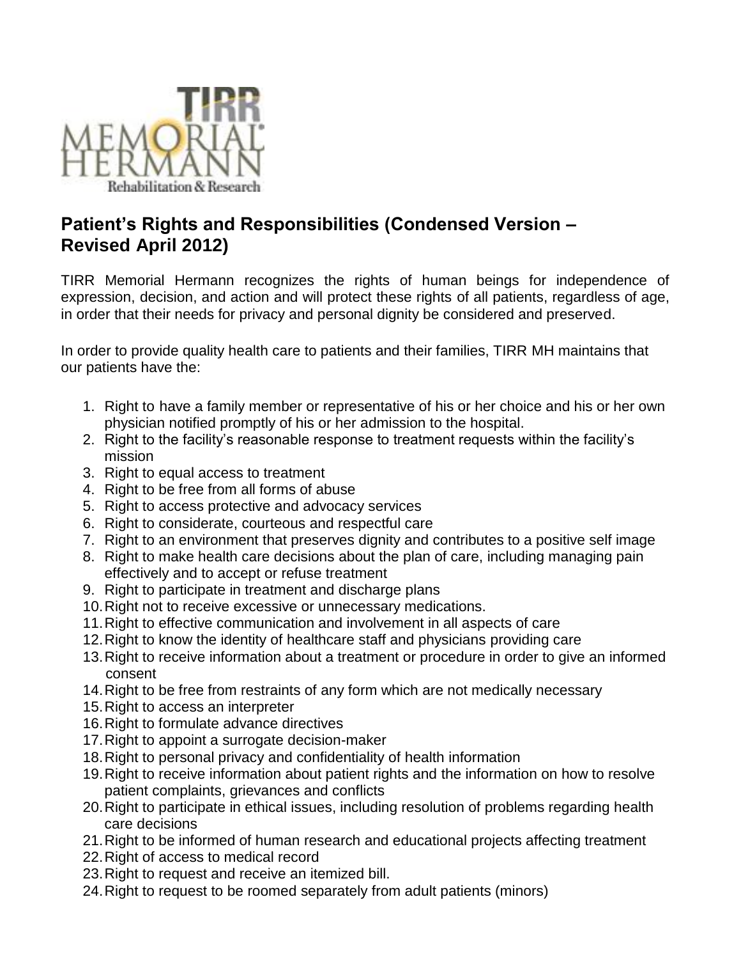

## **Patient's Rights and Responsibilities (Condensed Version – Revised April 2012)**

TIRR Memorial Hermann recognizes the rights of human beings for independence of expression, decision, and action and will protect these rights of all patients, regardless of age, in order that their needs for privacy and personal dignity be considered and preserved.

In order to provide quality health care to patients and their families, TIRR MH maintains that our patients have the:

- 1. Right to have a family member or representative of his or her choice and his or her own physician notified promptly of his or her admission to the hospital.
- 2. Right to the facility's reasonable response to treatment requests within the facility's mission
- 3. Right to equal access to treatment
- 4. Right to be free from all forms of abuse
- 5. Right to access protective and advocacy services
- 6. Right to considerate, courteous and respectful care
- 7. Right to an environment that preserves dignity and contributes to a positive self image
- 8. Right to make health care decisions about the plan of care, including managing pain effectively and to accept or refuse treatment
- 9. Right to participate in treatment and discharge plans
- 10.Right not to receive excessive or unnecessary medications.
- 11.Right to effective communication and involvement in all aspects of care
- 12.Right to know the identity of healthcare staff and physicians providing care
- 13.Right to receive information about a treatment or procedure in order to give an informed consent
- 14.Right to be free from restraints of any form which are not medically necessary
- 15.Right to access an interpreter
- 16.Right to formulate advance directives
- 17.Right to appoint a surrogate decision-maker
- 18.Right to personal privacy and confidentiality of health information
- 19.Right to receive information about patient rights and the information on how to resolve patient complaints, grievances and conflicts
- 20.Right to participate in ethical issues, including resolution of problems regarding health care decisions
- 21.Right to be informed of human research and educational projects affecting treatment
- 22.Right of access to medical record
- 23.Right to request and receive an itemized bill.
- 24.Right to request to be roomed separately from adult patients (minors)